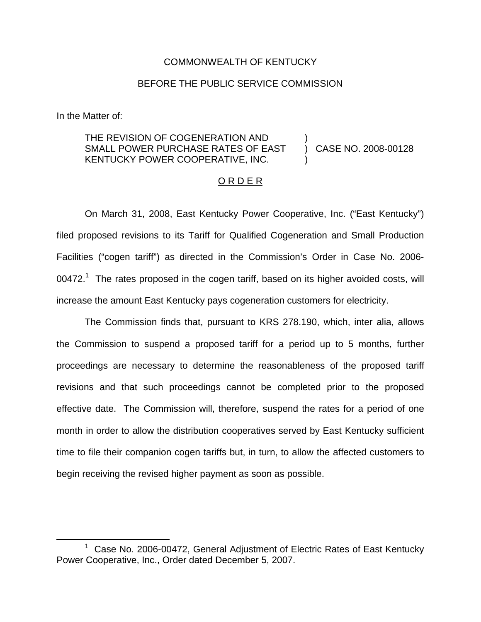#### COMMONWEALTH OF KENTUCKY

### BEFORE THE PUBLIC SERVICE COMMISSION

In the Matter of:

#### THE REVISION OF COGENERATION AND SMALL POWER PURCHASE RATES OF EAST KENTUCKY POWER COOPERATIVE, INC. ) ) CASE NO. 2008-00128 )

### O R D E R

On March 31, 2008, East Kentucky Power Cooperative, Inc. ("East Kentucky") filed proposed revisions to its Tariff for Qualified Cogeneration and Small Production Facilities ("cogen tariff") as directed in the Commission's Order in Case No. 2006-  $00472.<sup>1</sup>$  The rates proposed in the cogen tariff, based on its higher avoided costs, will increase the amount East Kentucky pays cogeneration customers for electricity.

The Commission finds that, pursuant to KRS 278.190, which, inter alia, allows the Commission to suspend a proposed tariff for a period up to 5 months, further proceedings are necessary to determine the reasonableness of the proposed tariff revisions and that such proceedings cannot be completed prior to the proposed effective date. The Commission will, therefore, suspend the rates for a period of one month in order to allow the distribution cooperatives served by East Kentucky sufficient time to file their companion cogen tariffs but, in turn, to allow the affected customers to begin receiving the revised higher payment as soon as possible.

 $1$  Case No. 2006-00472, General Adiustment of Electric Rates of East Kentucky Power Cooperative, Inc., Order dated December 5, 2007.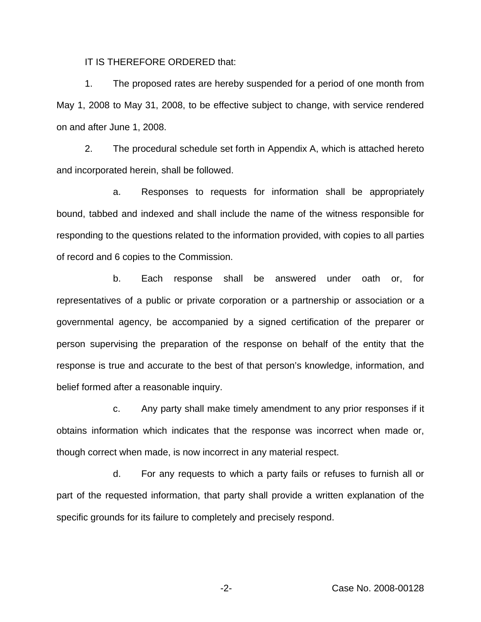IT IS THEREFORE ORDERED that:

1. The proposed rates are hereby suspended for a period of one month from May 1, 2008 to May 31, 2008, to be effective subject to change, with service rendered on and after June 1, 2008.

2. The procedural schedule set forth in Appendix A, which is attached hereto and incorporated herein, shall be followed.

a. Responses to requests for information shall be appropriately bound, tabbed and indexed and shall include the name of the witness responsible for responding to the questions related to the information provided, with copies to all parties of record and 6 copies to the Commission.

b. Each response shall be answered under oath or, for representatives of a public or private corporation or a partnership or association or a governmental agency, be accompanied by a signed certification of the preparer or person supervising the preparation of the response on behalf of the entity that the response is true and accurate to the best of that person's knowledge, information, and belief formed after a reasonable inquiry.

c. Any party shall make timely amendment to any prior responses if it obtains information which indicates that the response was incorrect when made or, though correct when made, is now incorrect in any material respect.

d. For any requests to which a party fails or refuses to furnish all or part of the requested information, that party shall provide a written explanation of the specific grounds for its failure to completely and precisely respond.

-2- Case No. 2008-00128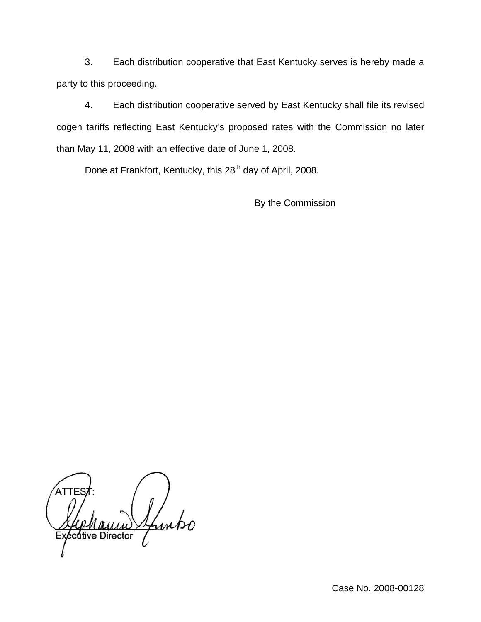3. Each distribution cooperative that East Kentucky serves is hereby made a party to this proceeding.

4. Each distribution cooperative served by East Kentucky shall file its revised cogen tariffs reflecting East Kentucky's proposed rates with the Commission no later than May 11, 2008 with an effective date of June 1, 2008.

Done at Frankfort, Kentucky, this 28<sup>th</sup> day of April, 2008.

By the Commission

Links cutive Director